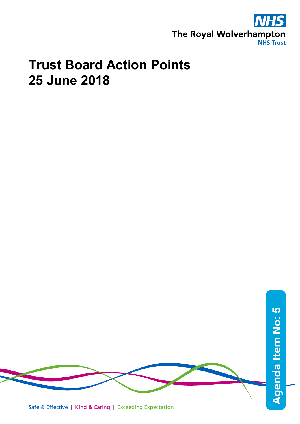

## **Trust Board Action Points 25 June 2018**

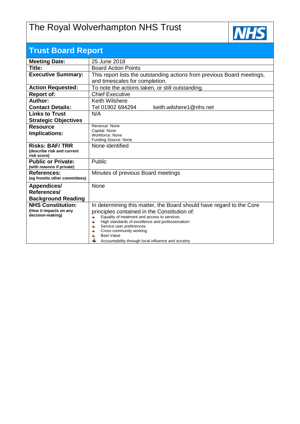## The Royal Wolverhampton NHS Trust



| <b>Trust Board Report</b>                  |                                                                                                            |  |  |  |
|--------------------------------------------|------------------------------------------------------------------------------------------------------------|--|--|--|
| <b>Meeting Date:</b>                       | 25 June 2018                                                                                               |  |  |  |
| Title:                                     | <b>Board Action Points</b>                                                                                 |  |  |  |
| <b>Executive Summary:</b>                  | This report lists the outstanding actions from previous Board meetings,                                    |  |  |  |
|                                            | and timescales for completion.                                                                             |  |  |  |
| <b>Action Requested:</b>                   | To note the actions taken, or still outstanding.                                                           |  |  |  |
| <b>Report of:</b>                          | <b>Chief Executive</b>                                                                                     |  |  |  |
| Author:                                    | Keith Wilshere                                                                                             |  |  |  |
| <b>Contact Details:</b>                    | keith.wilshere1@nhs.net<br>Tel 01902 694294                                                                |  |  |  |
| <b>Links to Trust</b>                      | N/A                                                                                                        |  |  |  |
| <b>Strategic Objectives</b>                |                                                                                                            |  |  |  |
| <b>Resource</b>                            | Revenue: None<br>Capital: None                                                                             |  |  |  |
| Implications:                              | Workforce: None                                                                                            |  |  |  |
|                                            | Funding Source: None                                                                                       |  |  |  |
| <b>Risks: BAF/TRR</b>                      | None identified                                                                                            |  |  |  |
| (describe risk and current<br>risk score)  |                                                                                                            |  |  |  |
| <b>Public or Private:</b>                  | Public                                                                                                     |  |  |  |
| (with reasons if private)                  |                                                                                                            |  |  |  |
| <b>References:</b>                         | Minutes of previous Board meetings                                                                         |  |  |  |
| (eg from/to other committees)              |                                                                                                            |  |  |  |
| Appendices/                                | None                                                                                                       |  |  |  |
| References/                                |                                                                                                            |  |  |  |
| <b>Background Reading</b>                  |                                                                                                            |  |  |  |
| <b>NHS Constitution:</b>                   | In determining this matter, the Board should have regard to the Core                                       |  |  |  |
| (How it impacts on any<br>decision-making) | principles contained in the Constitution of:                                                               |  |  |  |
|                                            | Equality of treatment and access to services<br>4<br>4<br>High standards of excellence and professionalism |  |  |  |
|                                            | 4<br>Service user preferences                                                                              |  |  |  |
|                                            | Cross community working<br>4<br><b>Best Value</b>                                                          |  |  |  |
|                                            | Accountability through local influence and scrutiny                                                        |  |  |  |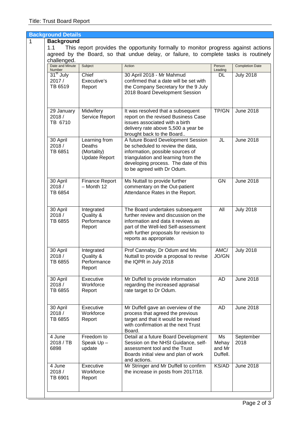|   | <b>Background Details</b>                 |                                                                |                                                                                                                                                                                                                            |                                   |                        |
|---|-------------------------------------------|----------------------------------------------------------------|----------------------------------------------------------------------------------------------------------------------------------------------------------------------------------------------------------------------------|-----------------------------------|------------------------|
| 1 | <b>Background</b>                         |                                                                |                                                                                                                                                                                                                            |                                   |                        |
|   | 1.1<br>challenged.                        |                                                                | This report provides the opportunity formally to monitor progress against actions<br>agreed by the Board, so that undue delay, or failure, to complete tasks is routinely                                                  |                                   |                        |
|   | Date and Minute<br><b>Number</b>          | Subject                                                        | Action                                                                                                                                                                                                                     | Person<br>Leading                 | <b>Completion Date</b> |
|   | 31 <sup>st</sup> July<br>2017/<br>TB 6519 | Chief<br>Executive's<br>Report                                 | 30 April 2018 - Mr Mahmud<br>confirmed that a date will be set with<br>the Company Secretary for the 9 July<br>2018 Board Development Session                                                                              | DL                                | <b>July 2018</b>       |
|   | 29 January<br>2018/<br>TB 6710            | Midwifery<br>Service Report                                    | It was resolved that a subsequent<br>report on the revised Business Case<br>issues associated with a birth<br>delivery rate above 5,500 a year be<br>brought back to the Board                                             | TP/GN                             | <b>June 2018</b>       |
|   | 30 April<br>2018/<br>TB 6851              | Learning from<br>Deaths<br>(Mortality)<br><b>Update Report</b> | A future Board Development Session<br>be scheduled to review the data,<br>information, possible sources of<br>triangulation and learning from the<br>developing process. The date of this<br>to be agreed with Dr Odum.    | JL                                | <b>June 2018</b>       |
|   | 30 April<br>2018/<br>TB 6854              | <b>Finance Report</b><br>$-$ Month 12                          | Ms Nuttall to provide further<br>commentary on the Out-patient<br>Attendance Rates in the Report.                                                                                                                          | <b>GN</b>                         | <b>June 2018</b>       |
|   | 30 April<br>2018/<br>TB 6855              | Integrated<br>Quality &<br>Performance<br>Report               | The Board undertakes subsequent<br>further review and discussion on the<br>information and data it reviews as<br>part of the Well-led Self-assessment<br>with further proposals for revision to<br>reports as appropriate. | All                               | <b>July 2018</b>       |
|   | 30 April<br>2018/<br>TB 6855              | Integrated<br>Quality &<br>Performance<br>Report               | Prof Cannaby, Dr Odum and Ms<br>Nuttall to provide a proposal to revise<br>the IQPR in July 2018                                                                                                                           | AMC/<br>JO/GN                     | <b>July 2018</b>       |
|   | 30 April<br>2018/<br>TB 6855              | Executive<br>Workforce<br>Report                               | Mr Duffell to provide information<br>regarding the increased appraisal<br>rate target to Dr Odum.                                                                                                                          | <b>AD</b>                         | <b>June 2018</b>       |
|   | 30 April<br>2018/<br>TB 6855              | Executive<br>Workforce<br>Report                               | Mr Duffell gave an overview of the<br>process that agreed the previous<br>target and that it would be revised<br>with confirmation at the next Trust<br>Board.                                                             | <b>AD</b>                         | <b>June 2018</b>       |
|   | 4 June<br>2018 / TB<br>6898               | Freedom to<br>Speak Up-<br>update                              | Detail at a future Board Development<br>Session on the NHSI Guidance, self-<br>assessment tool and the Trust<br>Boards initial view and plan of work<br>and actions.                                                       | Ms<br>Mehay<br>and Mr<br>Duffell. | September<br>2018      |
|   | 4 June<br>2018/<br>TB 6901                | Executive<br>Workforce<br>Report                               | Mr Stringer and Mr Duffell to confirm<br>the increase in posts from 2017/18.                                                                                                                                               | KS/AD                             | <b>June 2018</b>       |